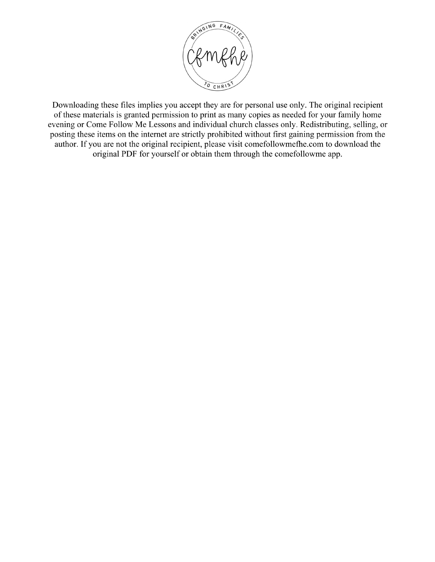

Downloading these files implies you accept they are for personal use only. The original recipient of these materials is granted permission to print as many copies as needed for your family home evening or Come Follow Me Lessons and individual church classes only. Redistributing, selling, or posting these items on the internet are strictly prohibited without first gaining permission from the author. If you are not the original recipient, please visit comefollowmefhe.com to download the original PDF for yourself or obtain them through the comefollowme app.